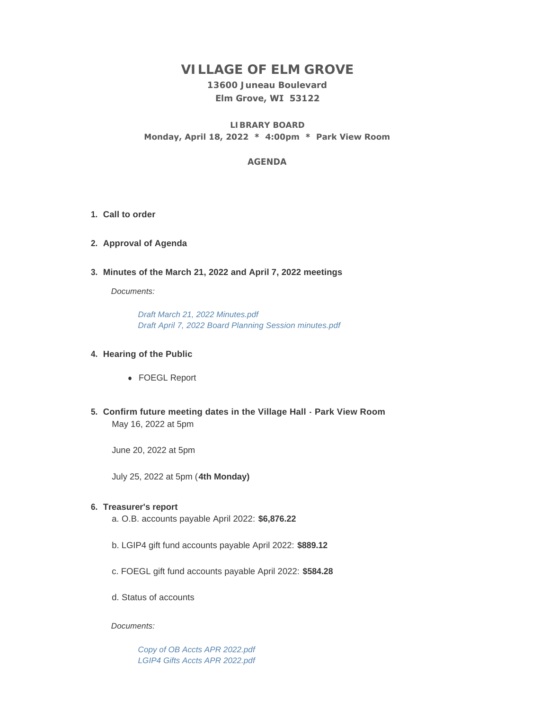# **VILLAGE OF ELM GROVE**

## **13600 Juneau Boulevard Elm Grove, WI 53122**

**LIBRARY BOARD Monday, April 18, 2022 \* 4:00pm \* Park View Room**

## **AGENDA**

- **Call to order 1.**
- **Approval of Agenda 2.**
- **Minutes of the March 21, 2022 and April 7, 2022 meetings 3.**

*Documents:*

*[Draft March 21, 2022 Minutes.pdf](https://elmgrovewi.org/AgendaCenter/ViewFile/Item/11727?fileID=18660) [Draft April 7, 2022 Board Planning Session minutes.pdf](https://elmgrovewi.org/AgendaCenter/ViewFile/Item/11727?fileID=18661)*

### **Hearing of the Public 4.**

- FOEGL Report
- **Confirm future meeting dates in the Village Hall Park View Room 5.** May 16, 2022 at 5pm

June 20, 2022 at 5pm

July 25, 2022 at 5pm (**4th Monday)**

## **Treasurer's report 6.**

- a. O.B. accounts payable April 2022: **\$6,876.22**
- b. LGIP4 gift fund accounts payable April 2022: **\$889.12**
- c. FOEGL gift fund accounts payable April 2022: **\$584.28**
- d. Status of accounts

#### *Documents:*

*[Copy of OB Accts APR 2022.pdf](https://elmgrovewi.org/AgendaCenter/ViewFile/Item/11735?fileID=18687) [LGIP4 Gifts Accts APR 2022.pdf](https://elmgrovewi.org/AgendaCenter/ViewFile/Item/11735?fileID=18688)*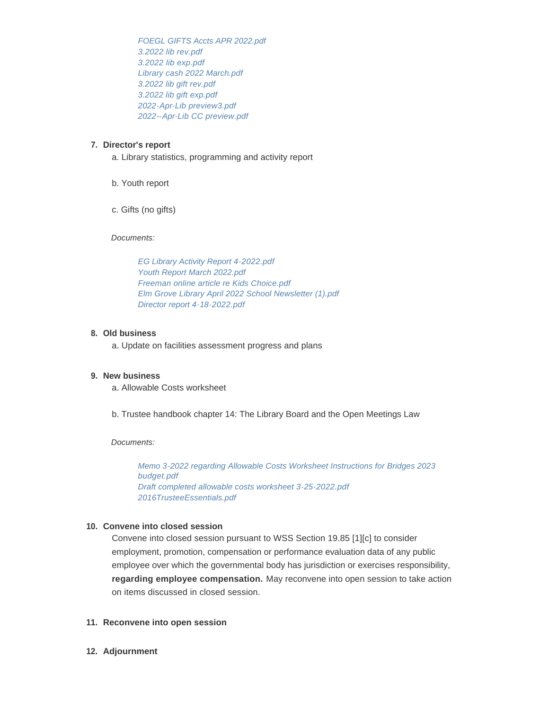*[FOEGL GIFTS Accts APR 2022.pdf](https://elmgrovewi.org/AgendaCenter/ViewFile/Item/11735?fileID=18689) [3.2022 lib rev.pdf](https://elmgrovewi.org/AgendaCenter/ViewFile/Item/11735?fileID=18691) [3.2022 lib exp.pdf](https://elmgrovewi.org/AgendaCenter/ViewFile/Item/11735?fileID=18692) [Library cash 2022 March.pdf](https://elmgrovewi.org/AgendaCenter/ViewFile/Item/11735?fileID=18693) [3.2022 lib gift rev.pdf](https://elmgrovewi.org/AgendaCenter/ViewFile/Item/11735?fileID=18694) [3.2022 lib gift exp.pdf](https://elmgrovewi.org/AgendaCenter/ViewFile/Item/11735?fileID=18695) [2022-Apr-Lib preview3.pdf](https://elmgrovewi.org/AgendaCenter/ViewFile/Item/11735?fileID=18696) [2022--Apr-Lib CC preview.pdf](https://elmgrovewi.org/AgendaCenter/ViewFile/Item/11735?fileID=18716)*

## **Director's report 7.**

- a. Library statistics, programming and activity report
- b. Youth report
- c. Gifts (no gifts)

*Documents:*

*[EG Library Activity Report 4-2022.pdf](https://elmgrovewi.org/AgendaCenter/ViewFile/Item/11736?fileID=18697) [Youth Report March 2022.pdf](https://elmgrovewi.org/AgendaCenter/ViewFile/Item/11736?fileID=18698) [Freeman online article re Kids Choice.pdf](https://elmgrovewi.org/AgendaCenter/ViewFile/Item/11736?fileID=18699) [Elm Grove Library April 2022 School Newsletter \(1\).pdf](https://elmgrovewi.org/AgendaCenter/ViewFile/Item/11736?fileID=18700) [Director report 4-18-2022.pdf](https://elmgrovewi.org/AgendaCenter/ViewFile/Item/11736?fileID=18717)*

### **Old business 8.**

a. Update on facilities assessment progress and plans

### **New business 9.**

- a. Allowable Costs worksheet
- b. Trustee handbook chapter 14: The Library Board and the Open Meetings Law

#### *Documents:*

*[Memo 3-2022 regarding Allowable Costs Worksheet Instructions for Bridges 2023](https://elmgrovewi.org/AgendaCenter/ViewFile/Item/11733?fileID=18664)  budget.pdf [Draft completed allowable costs worksheet 3-25-2022.pdf](https://elmgrovewi.org/AgendaCenter/ViewFile/Item/11733?fileID=18665) [2016TrusteeEssentials.pdf](https://elmgrovewi.org/AgendaCenter/ViewFile/Item/11733?fileID=18666)*

#### **Convene into closed session 10.**

Convene into closed session pursuant to WSS Section 19.85 [1][c] to consider employment, promotion, compensation or performance evaluation data of any public employee over which the governmental body has jurisdiction or exercises responsibility, **regarding employee compensation.** May reconvene into open session to take action on items discussed in closed session.

#### **Reconvene into open session 11.**

**Adjournment 12.**